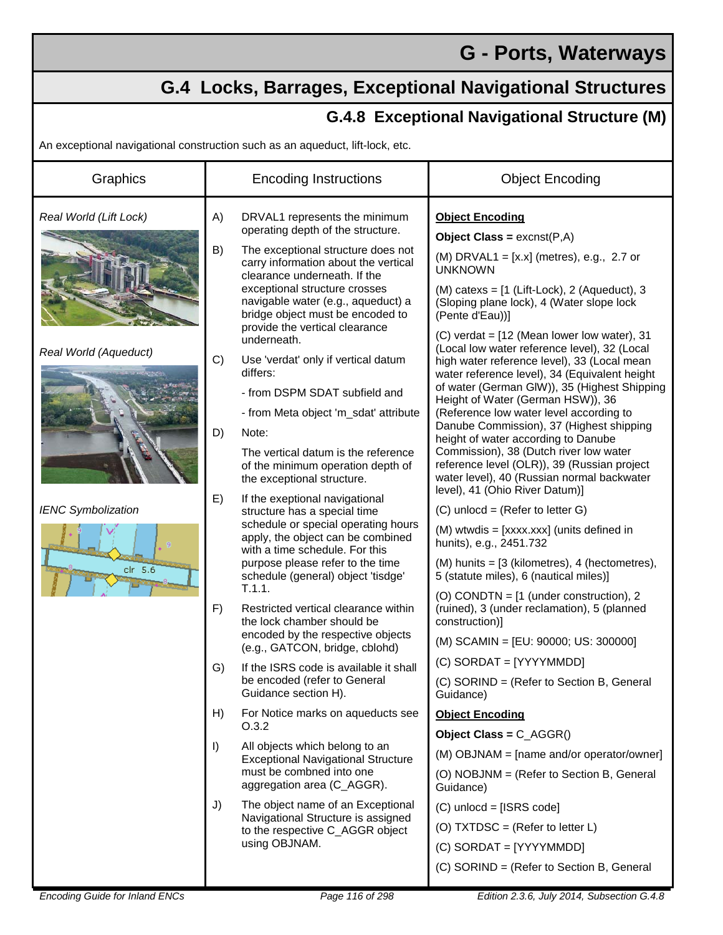## **G - Ports, Waterways**

## **G.4 Locks, Barrages, Exceptional Navigational Structures**

## **G.4.8 Exceptional Navigational Structure (M)**

An exceptional navigational construction such as an aqueduct, lift-lock, etc.

| Graphics                                                                                             | <b>Encoding Instructions</b>                                                                                                                                                                                                                                                                                                                                                                                                                                                                                                                                                                                                                                                                                                                                                                                                                                                                                                                                                                                                                                                                      | <b>Object Encoding</b>                                                                                                                                                                                                                                                                                                                                                                                                                                                                                                                                                                                                                                                                                                                                                                                                                                                                                                                                                                                                                                                                                                                                                                                                                                |
|------------------------------------------------------------------------------------------------------|---------------------------------------------------------------------------------------------------------------------------------------------------------------------------------------------------------------------------------------------------------------------------------------------------------------------------------------------------------------------------------------------------------------------------------------------------------------------------------------------------------------------------------------------------------------------------------------------------------------------------------------------------------------------------------------------------------------------------------------------------------------------------------------------------------------------------------------------------------------------------------------------------------------------------------------------------------------------------------------------------------------------------------------------------------------------------------------------------|-------------------------------------------------------------------------------------------------------------------------------------------------------------------------------------------------------------------------------------------------------------------------------------------------------------------------------------------------------------------------------------------------------------------------------------------------------------------------------------------------------------------------------------------------------------------------------------------------------------------------------------------------------------------------------------------------------------------------------------------------------------------------------------------------------------------------------------------------------------------------------------------------------------------------------------------------------------------------------------------------------------------------------------------------------------------------------------------------------------------------------------------------------------------------------------------------------------------------------------------------------|
| Real World (Lift Lock)<br>Real World (Aqueduct)<br><b>IENC Symbolization</b><br>clr $5.\overline{6}$ | A)<br>DRVAL1 represents the minimum<br>operating depth of the structure.<br>B)<br>The exceptional structure does not<br>carry information about the vertical<br>clearance underneath. If the<br>exceptional structure crosses<br>navigable water (e.g., aqueduct) a<br>bridge object must be encoded to<br>provide the vertical clearance<br>underneath.<br>C)<br>Use 'verdat' only if vertical datum<br>differs:<br>- from DSPM SDAT subfield and<br>- from Meta object 'm_sdat' attribute<br>D)<br>Note:<br>The vertical datum is the reference<br>of the minimum operation depth of<br>the exceptional structure.<br>E)<br>If the exeptional navigational<br>structure has a special time<br>schedule or special operating hours<br>apply, the object can be combined<br>with a time schedule. For this<br>purpose please refer to the time<br>schedule (general) object 'tisdge'<br>T.1.1.<br>F)<br>Restricted vertical clearance within<br>the lock chamber should be<br>encoded by the respective objects<br>(e.g., GATCON, bridge, cblohd)<br>If the ISRS code is available it shall<br>G) | <b>Object Encoding</b><br><b>Object Class = <math>excnst(P,A)</math></b><br>(M) DRVAL1 = $[x.x]$ (metres), e.g., 2.7 or<br><b>UNKNOWN</b><br>(M) catexs = $[1$ (Lift-Lock), 2 (Aqueduct), 3<br>(Sloping plane lock), 4 (Water slope lock<br>(Pente d'Eau))]<br>(C) verdat = [12 (Mean lower low water), 31<br>(Local low water reference level), 32 (Local<br>high water reference level), 33 (Local mean<br>water reference level), 34 (Equivalent height<br>of water (German GIW)), 35 (Highest Shipping<br>Height of Water (German HSW)), 36<br>(Reference low water level according to<br>Danube Commission), 37 (Highest shipping<br>height of water according to Danube<br>Commission), 38 (Dutch river low water<br>reference level (OLR)), 39 (Russian project<br>water level), 40 (Russian normal backwater<br>level), 41 (Ohio River Datum)]<br>$(C)$ unlocd = (Refer to letter G)<br>(M) wtwdis = [xxxx.xxx] (units defined in<br>hunits), e.g., 2451.732<br>$(M)$ hunits = $[3$ (kilometres), 4 (hectometres),<br>5 (statute miles), 6 (nautical miles)]<br>(O) CONDTN = $[1$ (under construction), 2<br>(ruined), 3 (under reclamation), 5 (planned<br>construction)]<br>(M) SCAMIN = [EU: 90000; US: 300000]<br>(C) SORDAT = [YYYYMMDD] |
|                                                                                                      | be encoded (refer to General<br>Guidance section H).<br>H)<br>For Notice marks on aqueducts see<br>O.3.2                                                                                                                                                                                                                                                                                                                                                                                                                                                                                                                                                                                                                                                                                                                                                                                                                                                                                                                                                                                          | (C) SORIND = (Refer to Section B, General<br>Guidance)<br><b>Object Encoding</b>                                                                                                                                                                                                                                                                                                                                                                                                                                                                                                                                                                                                                                                                                                                                                                                                                                                                                                                                                                                                                                                                                                                                                                      |
|                                                                                                      | $\vert$<br>All objects which belong to an<br><b>Exceptional Navigational Structure</b><br>must be combned into one<br>aggregation area (C_AGGR).                                                                                                                                                                                                                                                                                                                                                                                                                                                                                                                                                                                                                                                                                                                                                                                                                                                                                                                                                  | Object Class = $C_AGGR()$<br>(M) OBJNAM = [name and/or operator/owner]<br>(O) NOBJNM = (Refer to Section B, General<br>Guidance)                                                                                                                                                                                                                                                                                                                                                                                                                                                                                                                                                                                                                                                                                                                                                                                                                                                                                                                                                                                                                                                                                                                      |
|                                                                                                      | The object name of an Exceptional<br>J)<br>Navigational Structure is assigned<br>to the respective C_AGGR object<br>using OBJNAM.                                                                                                                                                                                                                                                                                                                                                                                                                                                                                                                                                                                                                                                                                                                                                                                                                                                                                                                                                                 | $(C)$ unlocd = [ISRS code]<br>(O) TXTDSC = (Refer to letter $L$ )<br>$(C)$ SORDAT = [YYYYMMDD]<br>(C) SORIND = (Refer to Section B, General                                                                                                                                                                                                                                                                                                                                                                                                                                                                                                                                                                                                                                                                                                                                                                                                                                                                                                                                                                                                                                                                                                           |
| <b>Encoding Guide for Inland ENCs</b>                                                                | Page 116 of 298                                                                                                                                                                                                                                                                                                                                                                                                                                                                                                                                                                                                                                                                                                                                                                                                                                                                                                                                                                                                                                                                                   | Edition 2.3.6, July 2014, Subsection G.4.8                                                                                                                                                                                                                                                                                                                                                                                                                                                                                                                                                                                                                                                                                                                                                                                                                                                                                                                                                                                                                                                                                                                                                                                                            |